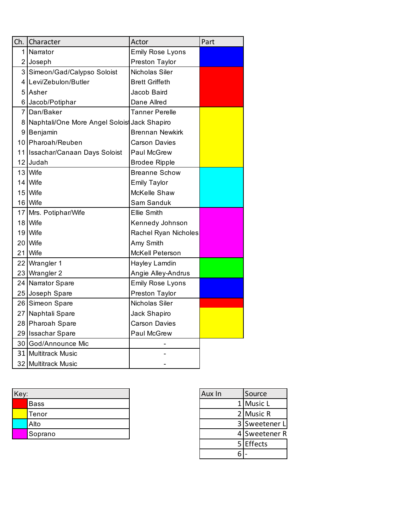| Ch.            | Character                                     | Actor                  | Part |
|----------------|-----------------------------------------------|------------------------|------|
| 1              | Narrator                                      | Emily Rose Lyons       |      |
|                | 2 Joseph                                      | Preston Taylor         |      |
| $\overline{3}$ | Simeon/Gad/Calypso Soloist                    | Nicholas Siler         |      |
|                | 4 Levi/Zebulon/Butler                         | <b>Brett Griffeth</b>  |      |
| 5              | Asher                                         | Jacob Baird            |      |
|                | 6 Jacob/Potiphar                              | Dane Allred            |      |
|                | 7 Dan/Baker                                   | Tanner Perelle         |      |
|                | 8 Naphtali/One More Angel Solois Jack Shapiro |                        |      |
|                | 9 Benjamin                                    | <b>Brennan Newkirk</b> |      |
|                | 10 Pharoah/Reuben                             | <b>Carson Davies</b>   |      |
|                | 11 Issachar/Canaan Days Soloist               | Paul McGrew            |      |
|                | 12 Judah                                      | <b>Brodee Ripple</b>   |      |
|                | 13 Wife                                       | <b>Breanne Schow</b>   |      |
|                | 14 Wife                                       | <b>Emily Taylor</b>    |      |
|                | 15 Wife                                       | McKelle Shaw           |      |
|                | 16 Wife                                       | Sam Sanduk             |      |
|                | 17 Mrs. Potiphar/Wife                         | <b>Ellie Smith</b>     |      |
|                | 18 Wife                                       | Kennedy Johnson        |      |
|                | 19 Wife                                       | Rachel Ryan Nicholes   |      |
|                | 20 Wife                                       | Amy Smith              |      |
|                | 21 Wife                                       | McKell Peterson        |      |
|                | 22 Wrangler 1                                 | Hayley Lamdin          |      |
|                | 23 Wrangler 2                                 | Angie Alley-Andrus     |      |
|                | 24 Narrator Spare                             | Emily Rose Lyons       |      |
|                | 25 Joseph Spare                               | Preston Taylor         |      |
|                | 26 Simeon Spare                               | Nicholas Siler         |      |
|                | 27 Naphtali Spare                             | Jack Shapiro           |      |
|                | 28 Pharoah Spare                              | <b>Carson Davies</b>   |      |
|                | 29 Issachar Spare                             | Paul McGrew            |      |
|                | 30 God/Announce Mic                           |                        |      |
|                | 31 Multitrack Music                           |                        |      |
|                | 32 Multitrack Music                           |                        |      |

| Key: |         | Aux In | Source        |
|------|---------|--------|---------------|
|      | Bass    |        | 1 Music L     |
|      | Tenor   |        | 2 Music R     |
|      | Alto    |        | 3 Sweetener L |
|      | Soprano |        | 4 Sweetener R |

| Aux In | Source        |
|--------|---------------|
|        | 1 Music L     |
|        | 2 Music R     |
|        | 3 Sweetener L |
|        | 4 Sweetener R |
|        | 5 Effects     |
|        |               |